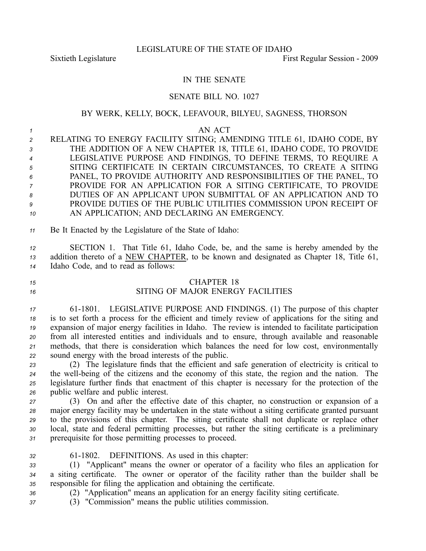## IN THE SENATE

## SENATE BILL NO. 1027

### BY WERK, KELLY, BOCK, LEFAVOUR, BILYEU, SAGNESS, THORSON

*1* AN ACT RELATING TO ENERGY FACILITY SITING; AMENDING TITLE 61, IDAHO CODE, BY THE ADDITION OF A NEW CHAPTER 18, TITLE 61, IDAHO CODE, TO PROVIDE LEGISLATIVE PURPOSE AND FINDINGS, TO DEFINE TERMS, TO REQUIRE A SITING CERTIFICATE IN CERTAIN CIRCUMSTANCES, TO CREATE A SITING PANEL, TO PROVIDE AUTHORITY AND RESPONSIBILITIES OF THE PANEL, TO PROVIDE FOR AN APPLICATION FOR A SITING CERTIFICATE, TO PROVIDE DUTIES OF AN APPLICANT UPON SUBMITTAL OF AN APPLICATION AND TO PROVIDE DUTIES OF THE PUBLIC UTILITIES COMMISSION UPON RECEIPT OF AN APPLICATION; AND DECLARING AN EMERGENCY.

*<sup>11</sup>* Be It Enacted by the Legislature of the State of Idaho:

*<sup>12</sup>* SECTION 1. That Title 61, Idaho Code, be, and the same is hereby amended by the *<sup>13</sup>* addition thereto of <sup>a</sup> NEW CHAPTER, to be known and designated as Chapter 18, Title 61, *<sup>14</sup>* Idaho Code, and to read as follows:

#### *15* CHAPTER 18

# *16* SITING OF MAJOR ENERGY FACILITIES

 611801. LEGISLATIVE PURPOSE AND FINDINGS. (1) The purpose of this chapter is to set forth <sup>a</sup> process for the efficient and timely review of applications for the siting and expansion of major energy facilities in Idaho. The review is intended to facilitate participation from all interested entities and individuals and to ensure, through available and reasonable methods, that there is consideration which balances the need for low cost, environmentally sound energy with the broad interests of the public.

 (2) The legislature finds that the efficient and safe generation of electricity is critical to 24 the well-being of the citizens and the economy of this state, the region and the nation. The legislature further finds that enactment of this chapter is necessary for the protection of the public welfare and public interest.

 (3) On and after the effective date of this chapter, no construction or expansion of <sup>a</sup> major energy facility may be undertaken in the state without <sup>a</sup> siting certificate granted pursuan<sup>t</sup> to the provisions of this chapter. The siting certificate shall not duplicate or replace other local, state and federal permitting processes, but rather the siting certificate is <sup>a</sup> preliminary prerequisite for those permitting processes to proceed.

*<sup>32</sup>* 611802. DEFINITIONS. As used in this chapter:

*<sup>33</sup>* (1) "Applicant" means the owner or operator of <sup>a</sup> facility who files an application for *<sup>34</sup>* <sup>a</sup> siting certificate. The owner or operator of the facility rather than the builder shall be *<sup>35</sup>* responsible for filing the application and obtaining the certificate.

- *<sup>36</sup>* (2) "Application" means an application for an energy facility siting certificate.
- *<sup>37</sup>* (3) "Commission" means the public utilities commission.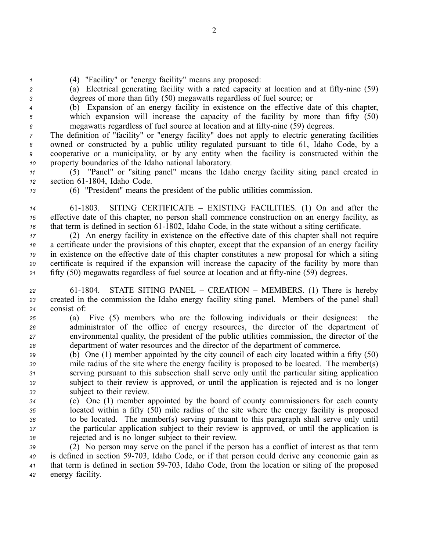*<sup>1</sup>* (4) "Facility" or "energy facility" means any proposed:

2 (a) Electrical generating facility with a rated capacity at location and at fifty-nine (59) *<sup>3</sup>* degrees of more than fifty (50) megawatts regardless of fuel source; or

*<sup>4</sup>* (b) Expansion of an energy facility in existence on the effective date of this chapter, *<sup>5</sup>* which expansion will increase the capacity of the facility by more than fifty (50) *<sup>6</sup>* megawatts regardless of fuel source at location and at fiftynine (59) degrees.

 The definition of "facility" or "energy facility" does not apply to electric generating facilities owned or constructed by <sup>a</sup> public utility regulated pursuan<sup>t</sup> to title 61, Idaho Code, by <sup>a</sup> cooperative or <sup>a</sup> municipality, or by any entity when the facility is constructed within the property boundaries of the Idaho national laboratory.

*<sup>11</sup>* (5) "Panel" or "siting panel" means the Idaho energy facility siting panel created in 12 section 61-1804, Idaho Code.

*<sup>13</sup>* (6) "President" means the president of the public utilities commission.

*<sup>14</sup>* 611803. SITING CERTIFICATE – EXISTING FACILITIES. (1) On and after the *<sup>15</sup>* effective date of this chapter, no person shall commence construction on an energy facility, as *16* that term is defined in section  $61-1802$ , Idaho Code, in the state without a siting certificate.

 (2) An energy facility in existence on the effective date of this chapter shall not require <sup>a</sup> certificate under the provisions of this chapter, excep<sup>t</sup> that the expansion of an energy facility in existence on the effective date of this chapter constitutes <sup>a</sup> new proposal for which <sup>a</sup> siting certificate is required if the expansion will increase the capacity of the facility by more than 21 fifty (50) megawatts regardless of fuel source at location and at fifty-nine (59) degrees.

*<sup>22</sup>* 611804. STATE SITING PANEL – CREATION – MEMBERS. (1) There is hereby *<sup>23</sup>* created in the commission the Idaho energy facility siting panel. Members of the panel shall *<sup>24</sup>* consist of:

 (a) Five (5) members who are the following individuals or their designees: the administrator of the office of energy resources, the director of the department of environmental quality, the president of the public utilities commission, the director of the department of water resources and the director of the department of commerce.

 (b) One (1) member appointed by the city council of each city located within <sup>a</sup> fifty (50) mile radius of the site where the energy facility is proposed to be located. The member(s) serving pursuan<sup>t</sup> to this subsection shall serve only until the particular siting application subject to their review is approved, or until the application is rejected and is no longer subject to their review.

 (c) One (1) member appointed by the board of county commissioners for each county located within <sup>a</sup> fifty (50) mile radius of the site where the energy facility is proposed to be located. The member(s) serving pursuan<sup>t</sup> to this paragraph shall serve only until the particular application subject to their review is approved, or until the application is rejected and is no longer subject to their review.

 (2) No person may serve on the panel if the person has <sup>a</sup> conflict of interest as that term is defined in section 59-703, Idaho Code, or if that person could derive any economic gain as that term is defined in section 59703, Idaho Code, from the location or siting of the proposed energy facility.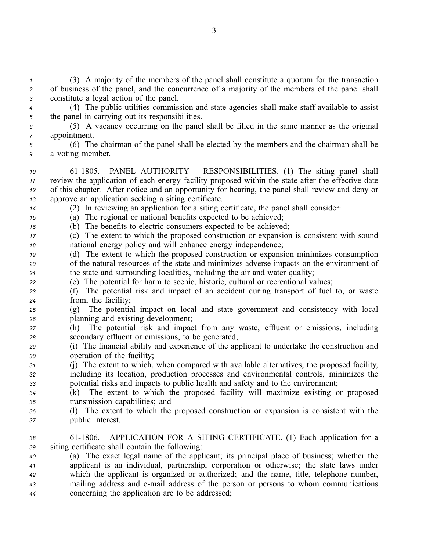*<sup>1</sup>* (3) A majority of the members of the panel shall constitute <sup>a</sup> quorum for the transaction *<sup>2</sup>* of business of the panel, and the concurrence of <sup>a</sup> majority of the members of the panel shall *<sup>3</sup>* constitute <sup>a</sup> legal action of the panel.

*<sup>4</sup>* (4) The public utilities commission and state agencies shall make staff available to assist *<sup>5</sup>* the panel in carrying out its responsibilities.

*<sup>6</sup>* (5) A vacancy occurring on the panel shall be filled in the same manner as the original *<sup>7</sup>* appointment.

*<sup>8</sup>* (6) The chairman of the panel shall be elected by the members and the chairman shall be *<sup>9</sup>* <sup>a</sup> voting member.

10 61-1805. PANEL AUTHORITY – RESPONSIBILITIES. (1) The siting panel shall review the application of each energy facility proposed within the state after the effective date of this chapter. After notice and an opportunity for hearing, the panel shall review and deny or approve an application seeking <sup>a</sup> siting certificate.

*<sup>14</sup>* (2) In reviewing an application for <sup>a</sup> siting certificate, the panel shall consider:

*<sup>15</sup>* (a) The regional or national benefits expected to be achieved;

*<sup>16</sup>* (b) The benefits to electric consumers expected to be achieved;

*<sup>17</sup>* (c) The extent to which the proposed construction or expansion is consistent with sound *<sup>18</sup>* national energy policy and will enhance energy independence;

*<sup>19</sup>* (d) The extent to which the proposed construction or expansion minimizes consumption *<sup>20</sup>* of the natural resources of the state and minimizes adverse impacts on the environment of *<sup>21</sup>* the state and surrounding localities, including the air and water quality;

*<sup>22</sup>* (e) The potential for harm to scenic, historic, cultural or recreational values;

*<sup>23</sup>* (f) The potential risk and impact of an accident during transport of fuel to, or waste *<sup>24</sup>* from, the facility;

- *<sup>25</sup>* (g) The potential impact on local and state governmen<sup>t</sup> and consistency with local *<sup>26</sup>* planning and existing development;
- *<sup>27</sup>* (h) The potential risk and impact from any waste, effluent or emissions, including *<sup>28</sup>* secondary effluent or emissions, to be generated;
- *<sup>29</sup>* (i) The financial ability and experience of the applicant to undertake the construction and *<sup>30</sup>* operation of the facility;
- *<sup>31</sup>* (j) The extent to which, when compared with available alternatives, the proposed facility, *<sup>32</sup>* including its location, production processes and environmental controls, minimizes the *<sup>33</sup>* potential risks and impacts to public health and safety and to the environment;

*<sup>34</sup>* (k) The extent to which the proposed facility will maximize existing or proposed *<sup>35</sup>* transmission capabilities; and

*<sup>36</sup>* (l) The extent to which the proposed construction or expansion is consistent with the *<sup>37</sup>* public interest.

*<sup>38</sup>* 611806. APPLICATION FOR A SITING CERTIFICATE. (1) Each application for <sup>a</sup> *<sup>39</sup>* siting certificate shall contain the following:

 (a) The exact legal name of the applicant; its principal place of business; whether the applicant is an individual, partnership, corporation or otherwise; the state laws under which the applicant is organized or authorized; and the name, title, telephone number, mailing address and email address of the person or persons to whom communications concerning the application are to be addressed;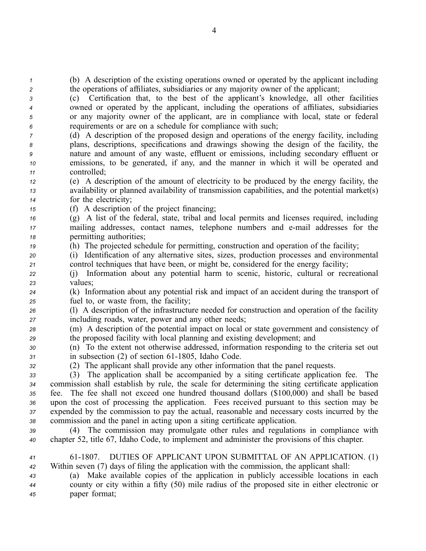*<sup>1</sup>* (b) A description of the existing operations owned or operated by the applicant including *<sup>2</sup>* the operations of affiliates, subsidiaries or any majority owner of the applicant;

 (c) Certification that, to the best of the applicant's knowledge, all other facilities owned or operated by the applicant, including the operations of affiliates, subsidiaries or any majority owner of the applicant, are in compliance with local, state or federal requirements or are on <sup>a</sup> schedule for compliance with such;

 (d) A description of the proposed design and operations of the energy facility, including plans, descriptions, specifications and drawings showing the design of the facility, the nature and amount of any waste, effluent or emissions, including secondary effluent or emissions, to be generated, if any, and the manner in which it will be operated and controlled;

*<sup>12</sup>* (e) A description of the amount of electricity to be produced by the energy facility, the *<sup>13</sup>* availability or planned availability of transmission capabilities, and the potential market(s) *<sup>14</sup>* for the electricity;

*<sup>15</sup>* (f) A description of the project financing;

*<sup>16</sup>* (g) A list of the federal, state, tribal and local permits and licenses required, including *<sup>17</sup>* mailing addresses, contact names, telephone numbers and email addresses for the *<sup>18</sup>* permitting authorities;

*<sup>19</sup>* (h) The projected schedule for permitting, construction and operation of the facility;

*<sup>20</sup>* (i) Identification of any alternative sites, sizes, production processes and environmental *<sup>21</sup>* control techniques that have been, or might be, considered for the energy facility;

*<sup>22</sup>* (j) Information about any potential harm to scenic, historic, cultural or recreational *<sup>23</sup>* values;

*<sup>24</sup>* (k) Information about any potential risk and impact of an accident during the transport of *<sup>25</sup>* fuel to, or waste from, the facility;

*<sup>26</sup>* (l) A description of the infrastructure needed for construction and operation of the facility *<sup>27</sup>* including roads, water, power and any other needs;

*<sup>28</sup>* (m) A description of the potential impact on local or state governmen<sup>t</sup> and consistency of *<sup>29</sup>* the proposed facility with local planning and existing development; and

*<sup>30</sup>* (n) To the extent not otherwise addressed, information responding to the criteria set out *31* in subsection (2) of section 61-1805, Idaho Code.

*<sup>32</sup>* (2) The applicant shall provide any other information that the panel requests.

 (3) The application shall be accompanied by <sup>a</sup> siting certificate application fee. The commission shall establish by rule, the scale for determining the siting certificate application fee. The fee shall not exceed one hundred thousand dollars (\$100,000) and shall be based upon the cost of processing the application. Fees received pursuan<sup>t</sup> to this section may be expended by the commission to pay the actual, reasonable and necessary costs incurred by the commission and the panel in acting upon <sup>a</sup> siting certificate application.

*<sup>39</sup>* (4) The commission may promulgate other rules and regulations in compliance with *<sup>40</sup>* chapter 52, title 67, Idaho Code, to implement and administer the provisions of this chapter.

*<sup>41</sup>* 611807. DUTIES OF APPLICANT UPON SUBMITTAL OF AN APPLICATION. (1) *<sup>42</sup>* Within seven (7) days of filing the application with the commission, the applicant shall:

*<sup>43</sup>* (a) Make available copies of the application in publicly accessible locations in each *<sup>44</sup>* county or city within <sup>a</sup> fifty (50) mile radius of the proposed site in either electronic or *<sup>45</sup>* paper format;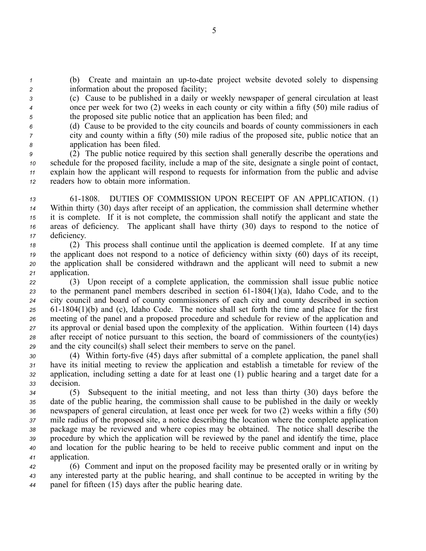*1* (b) Create and maintain an up-to-date project website devoted solely to dispensing *<sup>2</sup>* information about the proposed facility;

*<sup>3</sup>* (c) Cause to be published in <sup>a</sup> daily or weekly newspaper of general circulation at least *<sup>4</sup>* once per week for two (2) weeks in each county or city within <sup>a</sup> fifty (50) mile radius of *<sup>5</sup>* the proposed site public notice that an application has been filed; and

*<sup>6</sup>* (d) Cause to be provided to the city councils and boards of county commissioners in each *<sup>7</sup>* city and county within <sup>a</sup> fifty (50) mile radius of the proposed site, public notice that an *<sup>8</sup>* application has been filed.

 (2) The public notice required by this section shall generally describe the operations and schedule for the proposed facility, include <sup>a</sup> map of the site, designate <sup>a</sup> single point of contact, explain how the applicant will respond to requests for information from the public and advise readers how to obtain more information.

13 61-1808. DUTIES OF COMMISSION UPON RECEIPT OF AN APPLICATION. (1) Within thirty (30) days after receipt of an application, the commission shall determine whether it is complete. If it is not complete, the commission shall notify the applicant and state the areas of deficiency. The applicant shall have thirty (30) days to respond to the notice of deficiency.

 (2) This process shall continue until the application is deemed complete. If at any time the applicant does not respond to <sup>a</sup> notice of deficiency within sixty (60) days of its receipt, the application shall be considered withdrawn and the applicant will need to submit <sup>a</sup> new application.

 (3) Upon receipt of <sup>a</sup> complete application, the commission shall issue public notice z<sub>3</sub> to the permanent panel members described in section  $61-1804(1)(a)$ , Idaho Code, and to the city council and board of county commissioners of each city and county described in section 25 61-1804(1)(b) and (c), Idaho Code. The notice shall set forth the time and place for the first meeting of the panel and <sup>a</sup> proposed procedure and schedule for review of the application and its approval or denial based upon the complexity of the application. Within fourteen (14) days after receipt of notice pursuan<sup>t</sup> to this section, the board of commissioners of the county(ies) and the city council(s) shall select their members to serve on the panel.

30 (4) Within forty-five (45) days after submittal of a complete application, the panel shall have its initial meeting to review the application and establish <sup>a</sup> timetable for review of the application, including setting <sup>a</sup> date for at least one (1) public hearing and <sup>a</sup> target date for <sup>a</sup> decision.

 (5) Subsequent to the initial meeting, and not less than thirty (30) days before the date of the public hearing, the commission shall cause to be published in the daily or weekly newspapers of general circulation, at least once per week for two (2) weeks within <sup>a</sup> fifty (50) mile radius of the proposed site, <sup>a</sup> notice describing the location where the complete application package may be reviewed and where copies may be obtained. The notice shall describe the procedure by which the application will be reviewed by the panel and identify the time, place and location for the public hearing to be held to receive public comment and input on the application.

*<sup>42</sup>* (6) Comment and input on the proposed facility may be presented orally or in writing by *<sup>43</sup>* any interested party at the public hearing, and shall continue to be accepted in writing by the *<sup>44</sup>* panel for fifteen (15) days after the public hearing date.